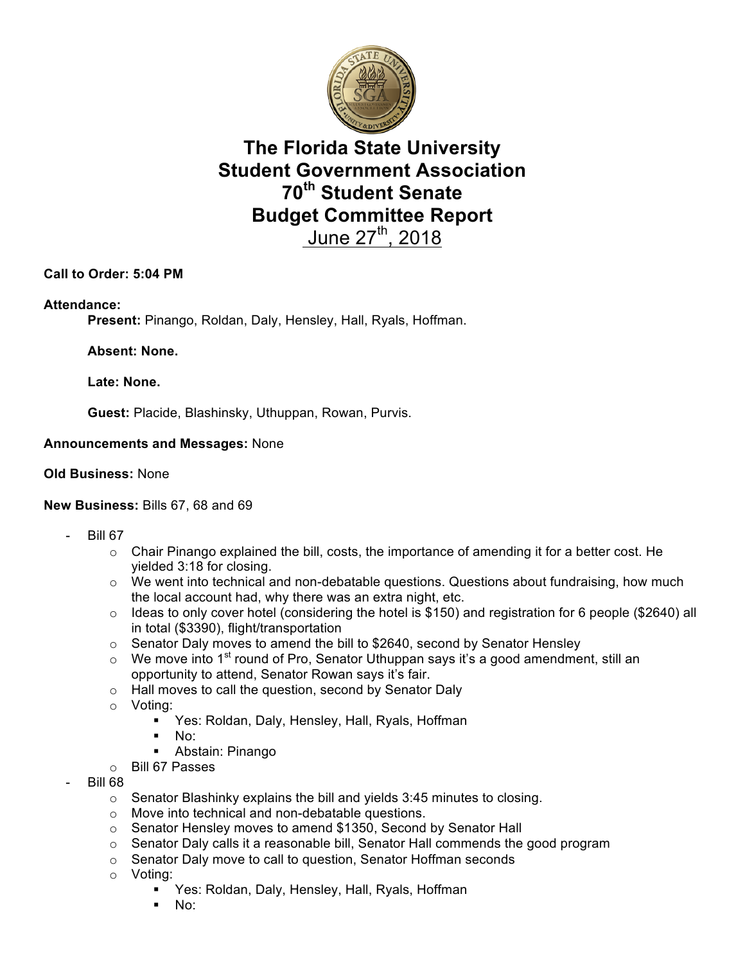

## **The Florida State University Student Government Association 70th Student Senate Budget Committee Report**  June 27<sup>th</sup>, 2018

## **Call to Order: 5:04 PM**

#### **Attendance:**

**Present:** Pinango, Roldan, Daly, Hensley, Hall, Ryals, Hoffman.

**Absent: None.**

**Late: None.**

**Guest:** Placide, Blashinsky, Uthuppan, Rowan, Purvis.

#### **Announcements and Messages:** None

#### **Old Business:** None

#### **New Business:** Bills 67, 68 and 69

- **Bill 67** 
	- $\circ$  Chair Pinango explained the bill, costs, the importance of amending it for a better cost. He yielded 3:18 for closing.
	- o We went into technical and non-debatable questions. Questions about fundraising, how much the local account had, why there was an extra night, etc.
	- o Ideas to only cover hotel (considering the hotel is \$150) and registration for 6 people (\$2640) all in total (\$3390), flight/transportation
	- o Senator Daly moves to amend the bill to \$2640, second by Senator Hensley
	- $\circ$  We move into 1<sup>st</sup> round of Pro, Senator Uthuppan says it's a good amendment, still an opportunity to attend, Senator Rowan says it's fair.
	- o Hall moves to call the question, second by Senator Daly
	- o Voting:
		- Yes: Roldan, Daly, Hensley, Hall, Ryals, Hoffman
		- $\blacksquare$  No:
		- § Abstain: Pinango
	- o Bill 67 Passes
- Bill 68
	- o Senator Blashinky explains the bill and yields 3:45 minutes to closing.
	- o Move into technical and non-debatable questions.
	- o Senator Hensley moves to amend \$1350, Second by Senator Hall
	- o Senator Daly calls it a reasonable bill, Senator Hall commends the good program
	- o Senator Daly move to call to question, Senator Hoffman seconds
	- o Voting:
		- Yes: Roldan, Daly, Hensley, Hall, Ryals, Hoffman
		- § No: